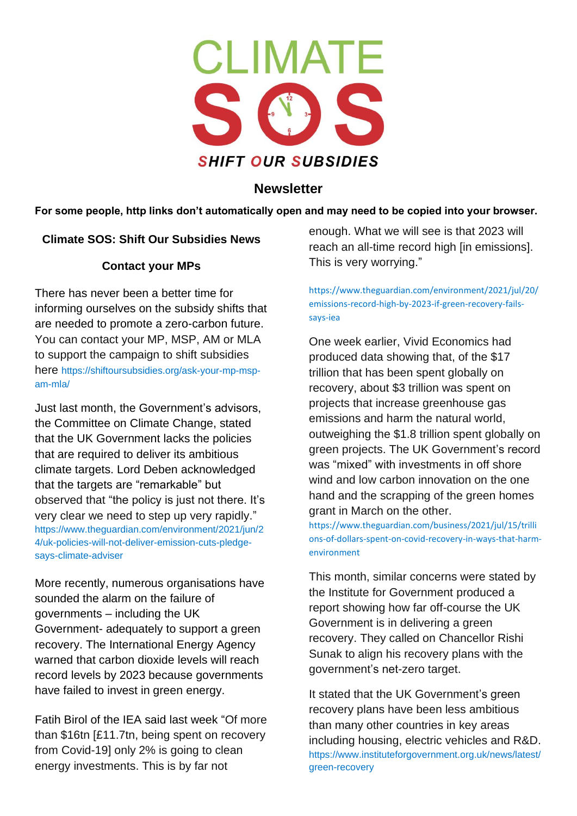

# **Newsletter**

**For some people, http links don't automatically open and may need to be copied into your browser.** 

## **Climate SOS: Shift Our Subsidies News**

## **Contact your MPs**

There has never been a better time for informing ourselves on the subsidy shifts that are needed to promote a zero-carbon future. You can contact your MP, MSP, AM or MLA to support the campaign to shift subsidies here [https://shiftoursubsidies.org/ask-your-mp-msp](https://shiftoursubsidies.org/ask-your-mp-msp-am-mla/)[am-mla/](https://shiftoursubsidies.org/ask-your-mp-msp-am-mla/)

Just last month, the Government's advisors, the Committee on Climate Change, stated that the UK Government lacks the policies that are required to deliver its ambitious climate targets. Lord Deben acknowledged that the targets are "remarkable" but observed that "the policy is just not there. It's very clear we need to step up very rapidly." [https://www.theguardian.com/environment/2021/jun/2](https://www.theguardian.com/environment/2021/jun/24/uk-policies-will-not-deliver-emission-cuts-pledge-says-climate-adviser) [4/uk-policies-will-not-deliver-emission-cuts-pledge](https://www.theguardian.com/environment/2021/jun/24/uk-policies-will-not-deliver-emission-cuts-pledge-says-climate-adviser)[says-climate-adviser](https://www.theguardian.com/environment/2021/jun/24/uk-policies-will-not-deliver-emission-cuts-pledge-says-climate-adviser)

More recently, numerous organisations have sounded the alarm on the failure of governments – including the UK Government- adequately to support a green recovery. The International Energy Agency warned that carbon dioxide levels will reach record levels by 2023 because governments have failed to invest in green energy.

Fatih Birol of the IEA said last week "Of more than \$16tn [£11.7tn, being spent on recovery from Covid-19] only 2% is going to clean energy investments. This is by far not

enough. What we will see is that 2023 will reach an all-time record high [in emissions]. This is very worrying."

[https://www.theguardian.com/environment/2021/jul/20/](https://www.theguardian.com/environment/2021/jul/20/emissions-record-high-by-2023-if-green-recovery-fails-says-iea) [emissions-record-high-by-2023-if-green-recovery-fails](https://www.theguardian.com/environment/2021/jul/20/emissions-record-high-by-2023-if-green-recovery-fails-says-iea)[says-iea](https://www.theguardian.com/environment/2021/jul/20/emissions-record-high-by-2023-if-green-recovery-fails-says-iea)

One week earlier, Vivid Economics had produced data showing that, of the \$17 trillion that has been spent globally on recovery, about \$3 trillion was spent on projects that increase greenhouse gas emissions and harm the natural world, outweighing the \$1.8 trillion spent globally on green projects. The UK Government's record was "mixed" with investments in off shore wind and low carbon innovation on the one hand and the scrapping of the green homes grant in March on the other.

[https://www.theguardian.com/business/2021/jul/15/trilli](https://www.theguardian.com/business/2021/jul/15/trillions-of-dollars-spent-on-covid-recovery-in-ways-that-harm-environment) [ons-of-dollars-spent-on-covid-recovery-in-ways-that-harm](https://www.theguardian.com/business/2021/jul/15/trillions-of-dollars-spent-on-covid-recovery-in-ways-that-harm-environment)[environment](https://www.theguardian.com/business/2021/jul/15/trillions-of-dollars-spent-on-covid-recovery-in-ways-that-harm-environment)

This month, similar concerns were stated by the Institute for Government produced a report showing how far off-course the UK Government is in delivering a green recovery. They called on Chancellor Rishi Sunak to align his recovery plans with the government's net-zero target.

It stated that the UK Government's green recovery plans have been less ambitious than many other countries in key areas including housing, electric vehicles and R&D. [https://www.instituteforgovernment.org.uk/news/latest/](https://www.instituteforgovernment.org.uk/news/latest/green-recovery) [green-recovery](https://www.instituteforgovernment.org.uk/news/latest/green-recovery)